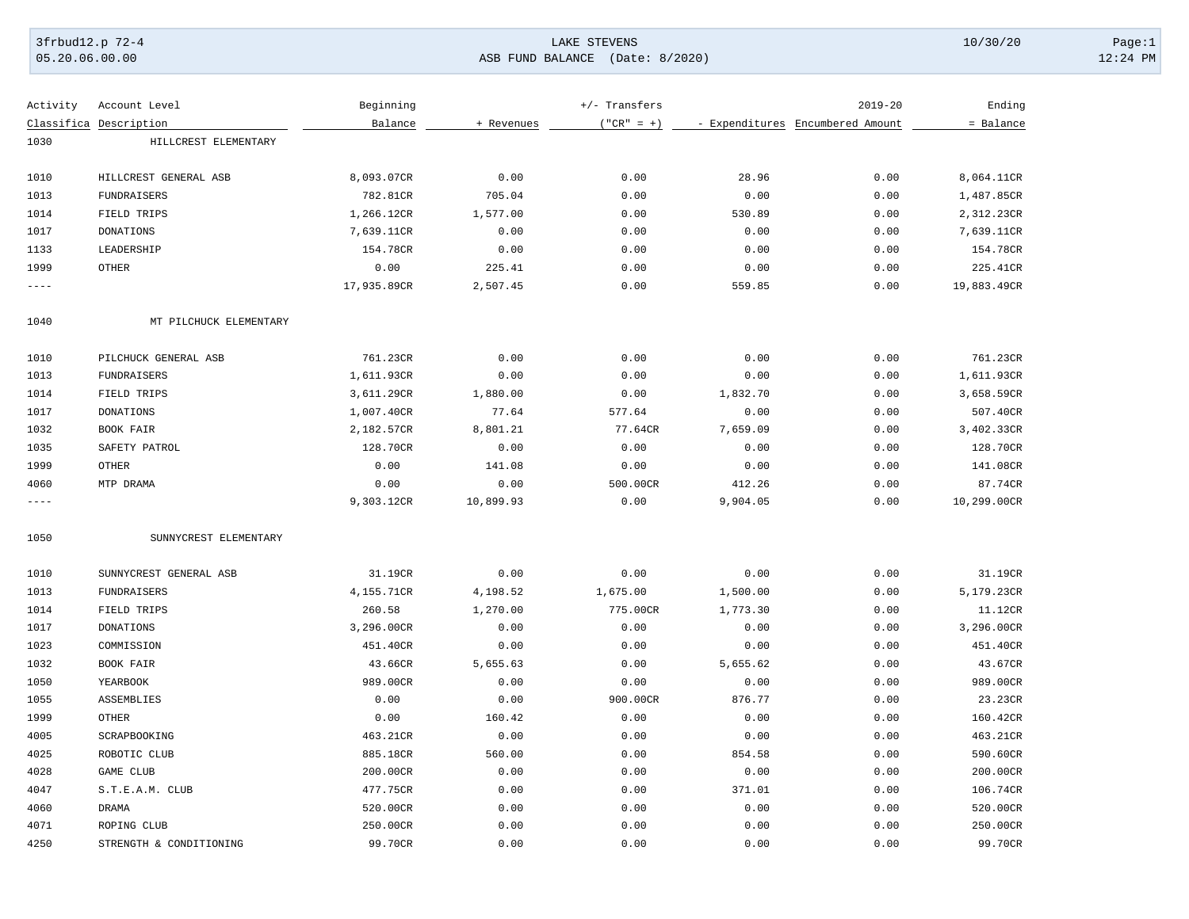### 3frbud12.p 72-4 LAKE STEVENS 10/30/20 Page:1 05.20.06.00.00 ASB FUND BALANCE (Date: 8/2020) 12:24 PM

| Activity | Account Level           | Beginning   |            | +/- Transfers |          | $2019 - 20$                      | Ending      |
|----------|-------------------------|-------------|------------|---------------|----------|----------------------------------|-------------|
|          | Classifica Description  | Balance     | + Revenues | $("CR" = +)$  |          | - Expenditures Encumbered Amount | = Balance   |
| 1030     | HILLCREST ELEMENTARY    |             |            |               |          |                                  |             |
|          |                         |             |            |               |          |                                  |             |
| 1010     | HILLCREST GENERAL ASB   | 8,093.07CR  | 0.00       | 0.00          | 28.96    | 0.00                             | 8,064.11CR  |
| 1013     | <b>FUNDRAISERS</b>      | 782.81CR    | 705.04     | 0.00          | 0.00     | 0.00                             | 1,487.85CR  |
| 1014     | FIELD TRIPS             | 1,266.12CR  | 1,577.00   | 0.00          | 530.89   | 0.00                             | 2,312.23CR  |
| 1017     | <b>DONATIONS</b>        | 7,639.11CR  | 0.00       | 0.00          | 0.00     | 0.00                             | 7,639.11CR  |
| 1133     | LEADERSHIP              | 154.78CR    | 0.00       | 0.00          | 0.00     | 0.00                             | 154.78CR    |
| 1999     | <b>OTHER</b>            | 0.00        | 225.41     | 0.00          | 0.00     | 0.00                             | 225.41CR    |
| ----     |                         | 17,935.89CR | 2,507.45   | 0.00          | 559.85   | 0.00                             | 19,883.49CR |
| 1040     | MT PILCHUCK ELEMENTARY  |             |            |               |          |                                  |             |
| 1010     | PILCHUCK GENERAL ASB    | 761.23CR    | 0.00       | 0.00          | 0.00     | 0.00                             | 761.23CR    |
| 1013     | <b>FUNDRAISERS</b>      | 1,611.93CR  | 0.00       | 0.00          | 0.00     | 0.00                             | 1,611.93CR  |
| 1014     | FIELD TRIPS             | 3,611.29CR  | 1,880.00   | 0.00          | 1,832.70 | 0.00                             | 3,658.59CR  |
| 1017     | <b>DONATIONS</b>        | 1,007.40CR  | 77.64      | 577.64        | 0.00     | 0.00                             | 507.40CR    |
| 1032     | BOOK FAIR               | 2,182.57CR  | 8,801.21   | 77.64CR       | 7,659.09 | 0.00                             | 3,402.33CR  |
| 1035     | SAFETY PATROL           | 128.70CR    | 0.00       | 0.00          | 0.00     | 0.00                             | 128.70CR    |
| 1999     | <b>OTHER</b>            | 0.00        | 141.08     | 0.00          | 0.00     | 0.00                             | 141.08CR    |
| 4060     | MTP DRAMA               | 0.00        | 0.00       | 500.00CR      | 412.26   | 0.00                             | 87.74CR     |
| $---$    |                         | 9,303.12CR  | 10,899.93  | 0.00          | 9,904.05 | 0.00                             | 10,299.00CR |
| 1050     | SUNNYCREST ELEMENTARY   |             |            |               |          |                                  |             |
| 1010     | SUNNYCREST GENERAL ASB  | 31.19CR     | 0.00       | 0.00          | 0.00     | 0.00                             | 31.19CR     |
| 1013     | FUNDRAISERS             | 4,155.71CR  | 4,198.52   | 1,675.00      | 1,500.00 | 0.00                             | 5,179.23CR  |
| 1014     | FIELD TRIPS             | 260.58      | 1,270.00   | 775.00CR      | 1,773.30 | 0.00                             | 11.12CR     |
| 1017     | <b>DONATIONS</b>        | 3,296.00CR  | 0.00       | 0.00          | 0.00     | 0.00                             | 3,296.00CR  |
| 1023     | COMMISSION              | 451.40CR    | 0.00       | 0.00          | 0.00     | 0.00                             | 451.40CR    |
| 1032     | BOOK FAIR               | 43.66CR     | 5,655.63   | 0.00          | 5,655.62 | 0.00                             | 43.67CR     |
| 1050     | YEARBOOK                | 989.00CR    | 0.00       | 0.00          | 0.00     | 0.00                             | 989.00CR    |
| 1055     | ASSEMBLIES              | 0.00        | 0.00       | 900.00CR      | 876.77   | 0.00                             | 23.23CR     |
| 1999     | <b>OTHER</b>            | 0.00        | 160.42     | 0.00          | 0.00     | 0.00                             | 160.42CR    |
| 4005     | SCRAPBOOKING            | 463.21CR    | 0.00       | 0.00          | 0.00     | 0.00                             | 463.21CR    |
| 4025     | ROBOTIC CLUB            | 885.18CR    | 560.00     | 0.00          | 854.58   | 0.00                             | 590.60CR    |
| 4028     | GAME CLUB               | 200.00CR    | 0.00       | 0.00          | 0.00     | 0.00                             | 200.00CR    |
| 4047     | S.T.E.A.M. CLUB         | 477.75CR    | 0.00       | 0.00          | 371.01   | 0.00                             | 106.74CR    |
| 4060     | <b>DRAMA</b>            | 520.00CR    | 0.00       | 0.00          | 0.00     | 0.00                             | 520.00CR    |
| 4071     | ROPING CLUB             | 250.00CR    | 0.00       | 0.00          | 0.00     | 0.00                             | 250.00CR    |
| 4250     | STRENGTH & CONDITIONING | 99.70CR     | 0.00       | 0.00          | 0.00     | 0.00                             | 99.70CR     |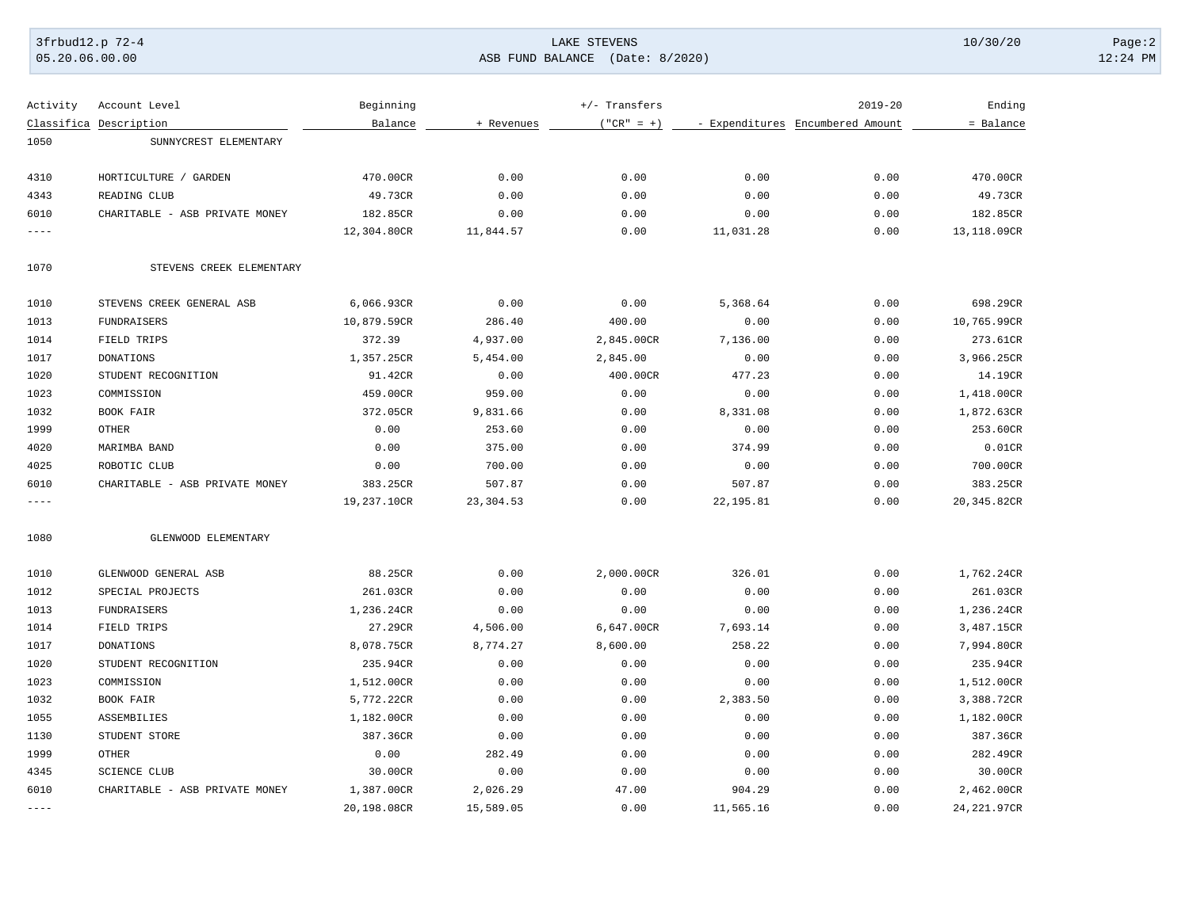### 3frbud12.p 72-4 LAKE STEVENS 10/30/20 Page:2 05.20.06.00.00 ASB FUND BALANCE (Date: 8/2020) 12:24 PM

| Activity  | Account Level                  | Beginning   |            | +/- Transfers |           | $2019 - 20$                      | Ending       |
|-----------|--------------------------------|-------------|------------|---------------|-----------|----------------------------------|--------------|
|           | Classifica Description         | Balance     | + Revenues | $("CR" = +)$  |           | - Expenditures Encumbered Amount | = Balance    |
| 1050      | SUNNYCREST ELEMENTARY          |             |            |               |           |                                  |              |
| 4310      | HORTICULTURE<br>/ GARDEN       | 470.00CR    | 0.00       | 0.00          | 0.00      | 0.00                             | 470.00CR     |
| 4343      | READING CLUB                   | 49.73CR     | 0.00       | 0.00          | 0.00      | 0.00                             | 49.73CR      |
| 6010      | CHARITABLE - ASB PRIVATE MONEY | 182.85CR    | 0.00       | 0.00          | 0.00      | 0.00                             | 182.85CR     |
| $---$     |                                | 12,304.80CR | 11,844.57  | 0.00          | 11,031.28 | 0.00                             | 13,118.09CR  |
| 1070      | STEVENS CREEK ELEMENTARY       |             |            |               |           |                                  |              |
| 1010      | STEVENS CREEK GENERAL ASB      | 6,066.93CR  | 0.00       | 0.00          | 5,368.64  | 0.00                             | 698.29CR     |
| 1013      | <b>FUNDRAISERS</b>             | 10,879.59CR | 286.40     | 400.00        | 0.00      | 0.00                             | 10,765.99CR  |
| 1014      | FIELD TRIPS                    | 372.39      | 4,937.00   | 2,845.00CR    | 7,136.00  | 0.00                             | 273.61CR     |
| 1017      | <b>DONATIONS</b>               | 1,357.25CR  | 5,454.00   | 2,845.00      | 0.00      | 0.00                             | 3,966.25CR   |
| 1020      | STUDENT RECOGNITION            | 91.42CR     | 0.00       | 400.00CR      | 477.23    | 0.00                             | 14.19CR      |
| 1023      | COMMISSION                     | 459.00CR    | 959.00     | 0.00          | 0.00      | 0.00                             | 1,418.00CR   |
| 1032      | BOOK FAIR                      | 372.05CR    | 9,831.66   | 0.00          | 8,331.08  | 0.00                             | 1,872.63CR   |
| 1999      | <b>OTHER</b>                   | 0.00        | 253.60     | 0.00          | 0.00      | 0.00                             | 253.60CR     |
| 4020      | MARIMBA BAND                   | 0.00        | 375.00     | 0.00          | 374.99    | 0.00                             | 0.01CR       |
| 4025      | ROBOTIC CLUB                   | 0.00        | 700.00     | 0.00          | 0.00      | 0.00                             | 700.00CR     |
| 6010      | CHARITABLE - ASB PRIVATE MONEY | 383.25CR    | 507.87     | 0.00          | 507.87    | 0.00                             | 383.25CR     |
| $---$     |                                | 19,237.10CR | 23,304.53  | 0.00          | 22,195.81 | 0.00                             | 20,345.82CR  |
| 1080      | GLENWOOD ELEMENTARY            |             |            |               |           |                                  |              |
| 1010      | GLENWOOD GENERAL ASB           | 88.25CR     | 0.00       | 2,000.00CR    | 326.01    | 0.00                             | 1,762.24CR   |
| 1012      | SPECIAL PROJECTS               | 261.03CR    | 0.00       | 0.00          | 0.00      | 0.00                             | 261.03CR     |
| 1013      | <b>FUNDRAISERS</b>             | 1,236.24CR  | 0.00       | 0.00          | 0.00      | 0.00                             | 1,236.24CR   |
| 1014      | FIELD TRIPS                    | 27.29CR     | 4,506.00   | 6,647.00CR    | 7,693.14  | 0.00                             | 3,487.15CR   |
| 1017      | <b>DONATIONS</b>               | 8,078.75CR  | 8,774.27   | 8,600.00      | 258.22    | 0.00                             | 7,994.80CR   |
| 1020      | STUDENT RECOGNITION            | 235.94CR    | 0.00       | 0.00          | 0.00      | 0.00                             | 235.94CR     |
| 1023      | COMMISSION                     | 1,512.00CR  | 0.00       | 0.00          | 0.00      | 0.00                             | 1,512.00CR   |
| 1032      | BOOK FAIR                      | 5,772.22CR  | 0.00       | 0.00          | 2,383.50  | 0.00                             | 3,388.72CR   |
| 1055      | ASSEMBILIES                    | 1,182.00CR  | 0.00       | 0.00          | 0.00      | 0.00                             | 1,182.00CR   |
| 1130      | STUDENT STORE                  | 387.36CR    | 0.00       | 0.00          | 0.00      | 0.00                             | 387.36CR     |
| 1999      | <b>OTHER</b>                   | 0.00        | 282.49     | 0.00          | 0.00      | 0.00                             | 282.49CR     |
| 4345      | <b>SCIENCE CLUB</b>            | 30.00CR     | 0.00       | 0.00          | 0.00      | 0.00                             | 30.00CR      |
| 6010      | CHARITABLE - ASB PRIVATE MONEY | 1,387.00CR  | 2,026.29   | 47.00         | 904.29    | 0.00                             | 2,462.00CR   |
| $- - - -$ |                                | 20,198.08CR | 15,589.05  | 0.00          | 11,565.16 | 0.00                             | 24, 221.97CR |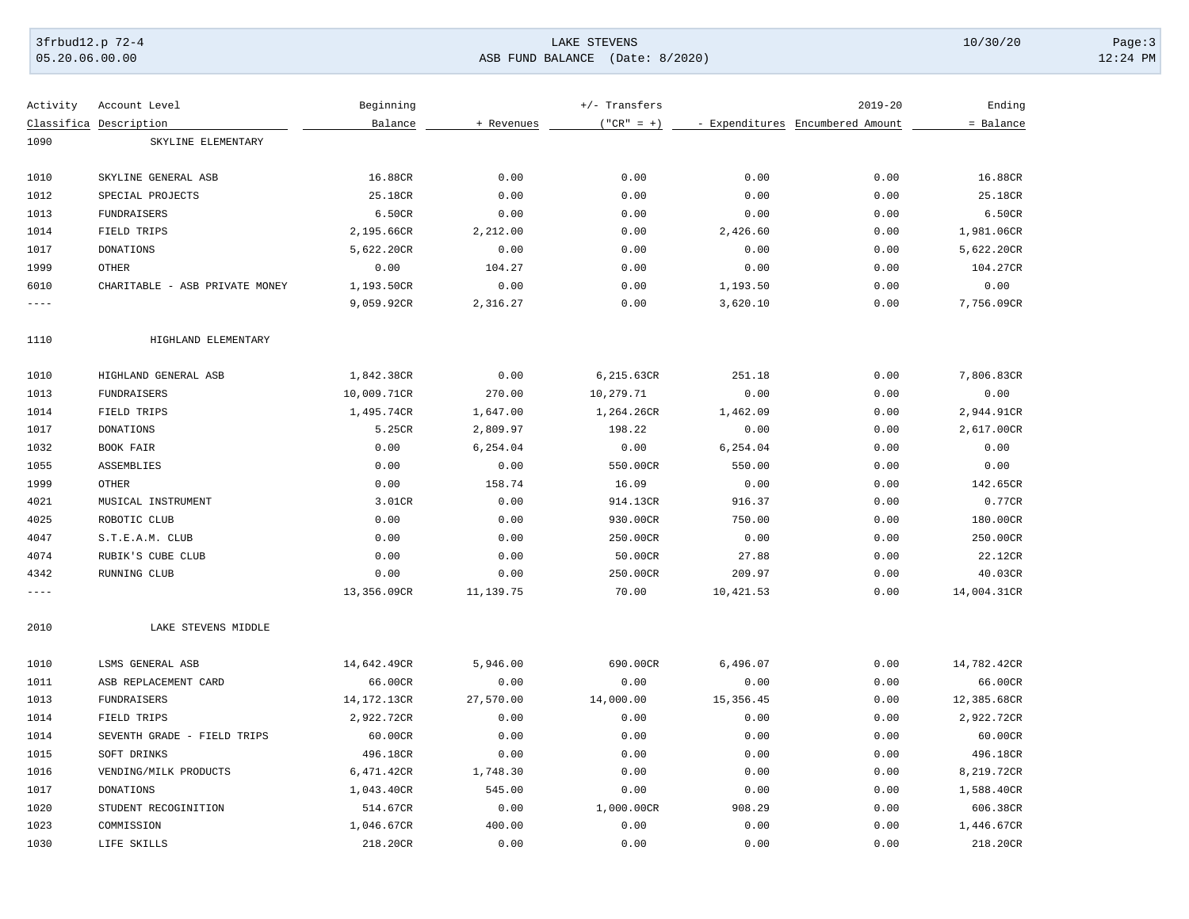### 3frbud12.p 72-4 LAKE STEVENS 10/30/20 Page:3 05.20.06.00.00 ASB FUND BALANCE (Date: 8/2020) 12:24 PM

| Activity    | Account Level                  | Beginning   |            | +/- Transfers |            | $2019 - 20$                      | Ending      |
|-------------|--------------------------------|-------------|------------|---------------|------------|----------------------------------|-------------|
|             | Classifica Description         | Balance     | + Revenues | $("CR" = +)$  |            | - Expenditures Encumbered Amount | = Balance   |
| 1090        | SKYLINE ELEMENTARY             |             |            |               |            |                                  |             |
| 1010        | SKYLINE GENERAL ASB            | 16.88CR     | 0.00       | 0.00          | 0.00       | 0.00                             | 16.88CR     |
| 1012        | SPECIAL PROJECTS               | 25.18CR     | 0.00       | 0.00          | 0.00       | 0.00                             | 25.18CR     |
| 1013        | <b>FUNDRAISERS</b>             | 6.50CR      | 0.00       | 0.00          | 0.00       | 0.00                             | 6.50CR      |
| 1014        | FIELD TRIPS                    | 2,195.66CR  | 2,212.00   | 0.00          | 2,426.60   | 0.00                             | 1,981.06CR  |
| 1017        | DONATIONS                      | 5,622.20CR  | 0.00       | 0.00          | 0.00       | 0.00                             | 5,622.20CR  |
| 1999        | <b>OTHER</b>                   | 0.00        | 104.27     | 0.00          | 0.00       | 0.00                             | 104.27CR    |
| 6010        | CHARITABLE - ASB PRIVATE MONEY | 1,193.50CR  | 0.00       | 0.00          | 1,193.50   | 0.00                             | 0.00        |
| $---$       |                                | 9,059.92CR  | 2,316.27   | 0.00          | 3,620.10   | 0.00                             | 7,756.09CR  |
| 1110        | HIGHLAND ELEMENTARY            |             |            |               |            |                                  |             |
| 1010        | HIGHLAND GENERAL ASB           | 1,842.38CR  | 0.00       | 6,215.63CR    | 251.18     | 0.00                             | 7,806.83CR  |
| 1013        | FUNDRAISERS                    | 10,009.71CR | 270.00     | 10,279.71     | 0.00       | 0.00                             | 0.00        |
| 1014        | FIELD TRIPS                    | 1,495.74CR  | 1,647.00   | 1,264.26CR    | 1,462.09   | 0.00                             | 2,944.91CR  |
| 1017        | <b>DONATIONS</b>               | 5.25CR      | 2,809.97   | 198.22        | 0.00       | 0.00                             | 2,617.00CR  |
| 1032        | BOOK FAIR                      | 0.00        | 6,254.04   | 0.00          | 6,254.04   | 0.00                             | 0.00        |
| 1055        | ASSEMBLIES                     | 0.00        | 0.00       | 550.00CR      | 550.00     | 0.00                             | 0.00        |
| 1999        | <b>OTHER</b>                   | 0.00        | 158.74     | 16.09         | 0.00       | 0.00                             | 142.65CR    |
| 4021        | MUSICAL INSTRUMENT             | 3.01CR      | 0.00       | 914.13CR      | 916.37     | 0.00                             | 0.77CR      |
| 4025        | ROBOTIC CLUB                   | 0.00        | 0.00       | 930.00CR      | 750.00     | 0.00                             | 180.00CR    |
| 4047        | S.T.E.A.M. CLUB                | 0.00        | 0.00       | 250.00CR      | 0.00       | 0.00                             | 250.00CR    |
| 4074        | RUBIK'S CUBE CLUB              | 0.00        | 0.00       | 50.00CR       | 27.88      | 0.00                             | 22.12CR     |
| 4342        | RUNNING CLUB                   | 0.00        | 0.00       | 250.00CR      | 209.97     | 0.00                             | 40.03CR     |
| $- - - - -$ |                                | 13,356.09CR | 11,139.75  | 70.00         | 10,421.53  | 0.00                             | 14,004.31CR |
| 2010        | LAKE STEVENS MIDDLE            |             |            |               |            |                                  |             |
| 1010        | LSMS GENERAL ASB               | 14,642.49CR | 5,946.00   | 690.00CR      | 6,496.07   | 0.00                             | 14,782.42CR |
| 1011        | ASB REPLACEMENT CARD           | 66.00CR     | 0.00       | 0.00          | 0.00       | 0.00                             | 66.00CR     |
| 1013        | <b>FUNDRAISERS</b>             | 14,172.13CR | 27,570.00  | 14,000.00     | 15, 356.45 | 0.00                             | 12,385.68CR |
| 1014        | FIELD TRIPS                    | 2,922.72CR  | 0.00       | 0.00          | 0.00       | 0.00                             | 2,922.72CR  |
| 1014        | SEVENTH GRADE<br>- FIELD TRIPS | 60.00CR     | 0.00       | 0.00          | 0.00       | 0.00                             | 60.00CR     |
| 1015        | SOFT DRINKS                    | 496.18CR    | 0.00       | 0.00          | 0.00       | 0.00                             | 496.18CR    |
| 1016        | VENDING/MILK PRODUCTS          | 6,471.42CR  | 1,748.30   | 0.00          | 0.00       | 0.00                             | 8,219.72CR  |
| 1017        | <b>DONATIONS</b>               | 1,043.40CR  | 545.00     | 0.00          | 0.00       | 0.00                             | 1,588.40CR  |
| 1020        | STUDENT RECOGINITION           | 514.67CR    | 0.00       | 1,000.00CR    | 908.29     | 0.00                             | 606.38CR    |
| 1023        | COMMISSION                     | 1,046.67CR  | 400.00     | 0.00          | 0.00       | 0.00                             | 1,446.67CR  |
| 1030        | LIFE SKILLS                    | 218.20CR    | 0.00       | 0.00          | 0.00       | 0.00                             | 218.20CR    |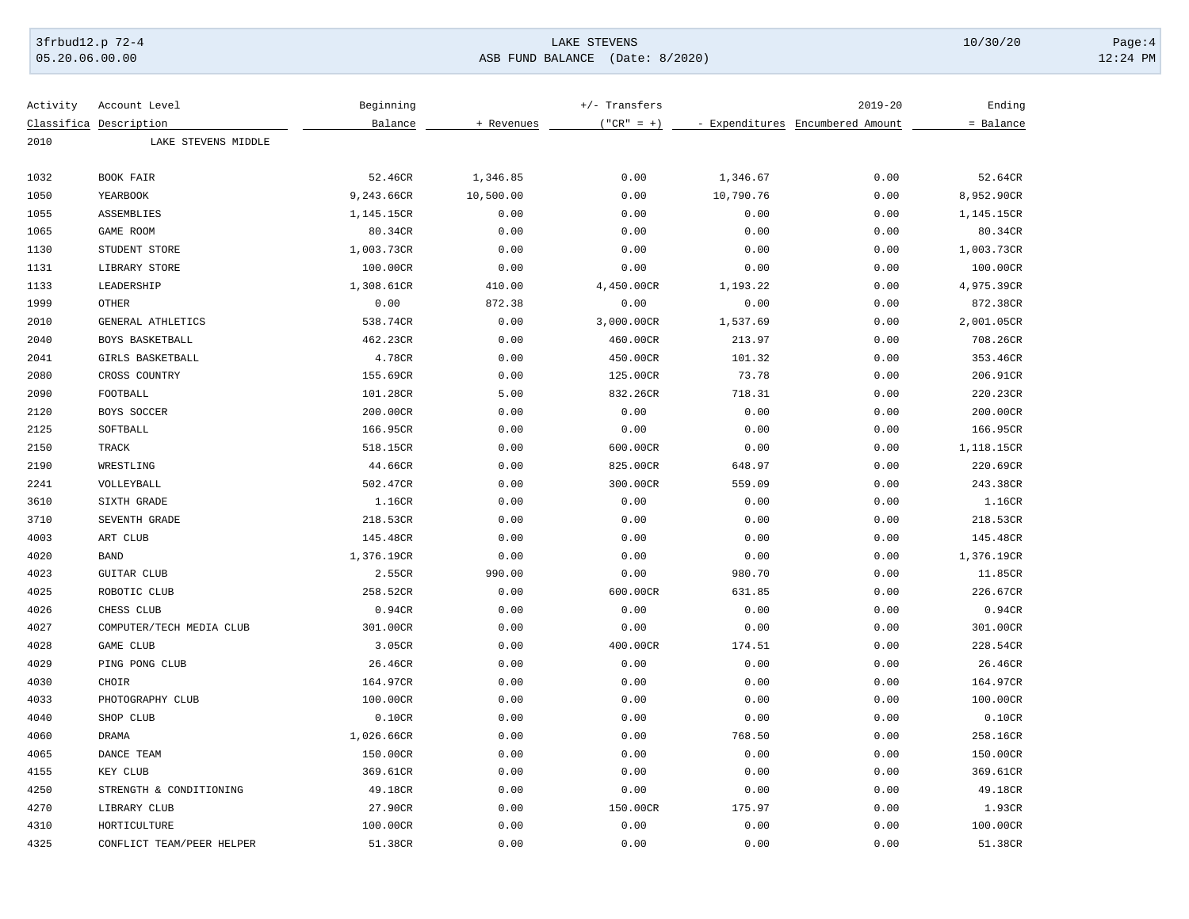05.20.06.00.00 ASB FUND BALANCE (Date: 8/2020) 12:24 PM

| Activity | Account Level             | Beginning  |            | +/- Transfers |           | $2019 - 20$                      | Ending     |
|----------|---------------------------|------------|------------|---------------|-----------|----------------------------------|------------|
|          | Classifica Description    | Balance    | + Revenues | $("CR" = +)$  |           | - Expenditures Encumbered Amount | = Balance  |
| 2010     | LAKE STEVENS MIDDLE       |            |            |               |           |                                  |            |
| 1032     | BOOK FAIR                 | 52.46CR    | 1,346.85   | 0.00          | 1,346.67  | 0.00                             | 52.64CR    |
| 1050     | YEARBOOK                  | 9,243.66CR | 10,500.00  | 0.00          | 10,790.76 | 0.00                             | 8,952.90CR |
| 1055     | ASSEMBLIES                | 1,145.15CR | 0.00       | 0.00          | 0.00      | 0.00                             | 1,145.15CR |
| 1065     | GAME ROOM                 | 80.34CR    | 0.00       | 0.00          | 0.00      | 0.00                             | 80.34CR    |
| 1130     | STUDENT STORE             | 1,003.73CR | 0.00       | 0.00          | 0.00      | 0.00                             | 1,003.73CR |
| 1131     | LIBRARY STORE             | 100.00CR   | 0.00       | 0.00          | 0.00      | 0.00                             | 100.00CR   |
| 1133     | LEADERSHIP                | 1,308.61CR | 410.00     | 4,450.00CR    | 1,193.22  | 0.00                             | 4,975.39CR |
| 1999     | <b>OTHER</b>              | 0.00       | 872.38     | 0.00          | 0.00      | 0.00                             | 872.38CR   |
| 2010     | GENERAL ATHLETICS         | 538.74CR   | 0.00       | 3,000.00CR    | 1,537.69  | 0.00                             | 2,001.05CR |
| 2040     | BOYS BASKETBALL           | 462.23CR   | 0.00       | 460.00CR      | 213.97    | 0.00                             | 708.26CR   |
| 2041     | GIRLS BASKETBALL          | 4.78CR     | 0.00       | 450.00CR      | 101.32    | 0.00                             | 353.46CR   |
| 2080     | CROSS COUNTRY             | 155.69CR   | 0.00       | 125.00CR      | 73.78     | 0.00                             | 206.91CR   |
| 2090     | FOOTBALL                  | 101.28CR   | 5.00       | 832.26CR      | 718.31    | 0.00                             | 220.23CR   |
| 2120     | BOYS SOCCER               | 200.00CR   | 0.00       | 0.00          | 0.00      | 0.00                             | 200.00CR   |
| 2125     | SOFTBALL                  | 166.95CR   | 0.00       | 0.00          | 0.00      | 0.00                             | 166.95CR   |
| 2150     | TRACK                     | 518.15CR   | 0.00       | 600.00CR      | 0.00      | 0.00                             | 1,118.15CR |
| 2190     | WRESTLING                 | 44.66CR    | 0.00       | 825.00CR      | 648.97    | 0.00                             | 220.69CR   |
| 2241     | VOLLEYBALL                | 502.47CR   | 0.00       | 300.00CR      | 559.09    | 0.00                             | 243.38CR   |
| 3610     | SIXTH GRADE               | 1.16CR     | 0.00       | 0.00          | 0.00      | 0.00                             | 1.16CR     |
| 3710     | SEVENTH GRADE             | 218.53CR   | 0.00       | 0.00          | 0.00      | 0.00                             | 218.53CR   |
| 4003     | ART CLUB                  | 145.48CR   | 0.00       | 0.00          | 0.00      | 0.00                             | 145.48CR   |
| 4020     | <b>BAND</b>               | 1,376.19CR | 0.00       | 0.00          | 0.00      | 0.00                             | 1,376.19CR |
| 4023     | <b>GUITAR CLUB</b>        | 2.55CR     | 990.00     | 0.00          | 980.70    | 0.00                             | 11.85CR    |
| 4025     | ROBOTIC CLUB              | 258.52CR   | 0.00       | 600.00CR      | 631.85    | 0.00                             | 226.67CR   |
| 4026     | CHESS CLUB                | 0.94CR     | 0.00       | 0.00          | 0.00      | 0.00                             | 0.94CR     |
| 4027     | COMPUTER/TECH MEDIA CLUB  | 301.00CR   | 0.00       | 0.00          | 0.00      | 0.00                             | 301.00CR   |
| 4028     | GAME CLUB                 | 3.05CR     | 0.00       | 400.00CR      | 174.51    | 0.00                             | 228.54CR   |
| 4029     | PING PONG CLUB            | 26.46CR    | 0.00       | 0.00          | 0.00      | 0.00                             | 26.46CR    |
| 4030     | CHOIR                     | 164.97CR   | 0.00       | 0.00          | 0.00      | 0.00                             | 164.97CR   |
| 4033     | PHOTOGRAPHY CLUB          | 100.00CR   | 0.00       | 0.00          | 0.00      | 0.00                             | 100.00CR   |
| 4040     | SHOP CLUB                 | 0.10CR     | 0.00       | 0.00          | 0.00      | 0.00                             | 0.10CR     |
| 4060     | <b>DRAMA</b>              | 1,026.66CR | 0.00       | 0.00          | 768.50    | 0.00                             | 258.16CR   |
| 4065     | DANCE TEAM                | 150.00CR   | 0.00       | 0.00          | 0.00      | 0.00                             | 150.00CR   |
| 4155     | KEY CLUB                  | 369.61CR   | 0.00       | 0.00          | 0.00      | 0.00                             | 369.61CR   |
| 4250     | STRENGTH & CONDITIONING   | 49.18CR    | 0.00       | 0.00          | 0.00      | 0.00                             | 49.18CR    |
| 4270     | LIBRARY CLUB              | 27.90CR    | 0.00       | 150.00CR      | 175.97    | 0.00                             | 1.93CR     |
| 4310     | HORTICULTURE              | 100.00CR   | 0.00       | 0.00          | 0.00      | 0.00                             | 100.00CR   |
| 4325     | CONFLICT TEAM/PEER HELPER | 51.38CR    | 0.00       | 0.00          | 0.00      | 0.00                             | 51.38CR    |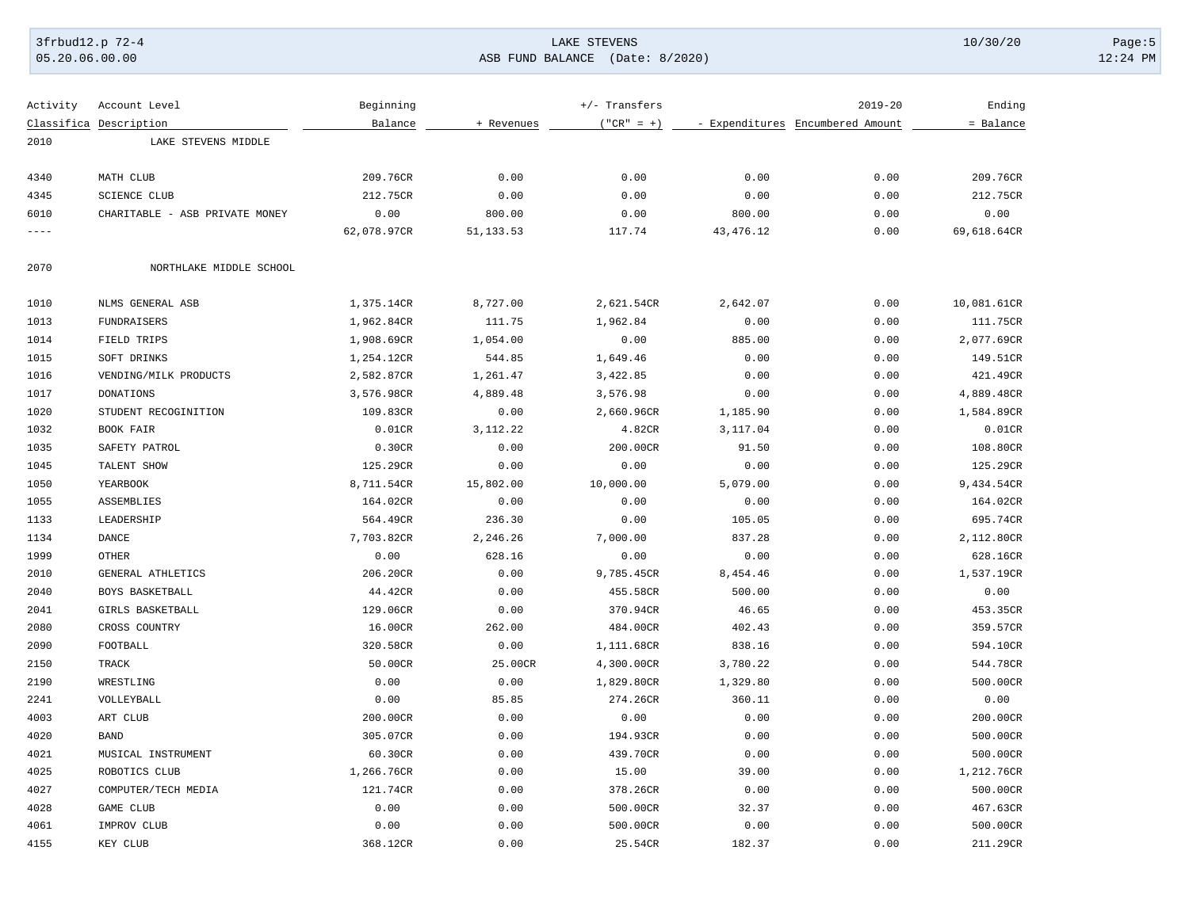### 3frbud12.p 72-4 LAKE STEVENS 10/30/20 Page:5 05.20.06.00.00 ASB FUND BALANCE (Date: 8/2020) 12:24 PM

Activity Account Level **Beginning** Beginning  $+/-$  Transfers  $+/-$  2019-20  $+$ 

|       | Classifica Description         | Balance     | + Revenues | $("CR" = +)$ |            | - Expenditures Encumbered Amount | = Balance   |
|-------|--------------------------------|-------------|------------|--------------|------------|----------------------------------|-------------|
| 2010  | LAKE STEVENS MIDDLE            |             |            |              |            |                                  |             |
|       |                                |             |            |              |            |                                  |             |
| 4340  | MATH CLUB                      | 209.76CR    | 0.00       | 0.00         | 0.00       | 0.00                             | 209.76CR    |
| 4345  | <b>SCIENCE CLUB</b>            | 212.75CR    | 0.00       | 0.00         | 0.00       | 0.00                             | 212.75CR    |
| 6010  | CHARITABLE - ASB PRIVATE MONEY | 0.00        | 800.00     | 0.00         | 800.00     | 0.00                             | 0.00        |
| $---$ |                                | 62,078.97CR | 51, 133.53 | 117.74       | 43, 476.12 | 0.00                             | 69,618.64CR |
| 2070  | NORTHLAKE MIDDLE SCHOOL        |             |            |              |            |                                  |             |
| 1010  | NLMS GENERAL ASB               | 1,375.14CR  | 8,727.00   | 2,621.54CR   | 2,642.07   | 0.00                             | 10,081.61CR |
| 1013  | <b>FUNDRAISERS</b>             | 1,962.84CR  | 111.75     | 1,962.84     | 0.00       | 0.00                             | 111.75CR    |
| 1014  | FIELD TRIPS                    | 1,908.69CR  | 1,054.00   | 0.00         | 885.00     | 0.00                             | 2,077.69CR  |
| 1015  | SOFT DRINKS                    | 1,254.12CR  | 544.85     | 1,649.46     | 0.00       | 0.00                             | 149.51CR    |
| 1016  | VENDING/MILK PRODUCTS          | 2,582.87CR  | 1,261.47   | 3,422.85     | 0.00       | 0.00                             | 421.49CR    |
| 1017  | <b>DONATIONS</b>               | 3,576.98CR  | 4,889.48   | 3,576.98     | 0.00       | 0.00                             | 4,889.48CR  |
| 1020  | STUDENT RECOGINITION           | 109.83CR    | 0.00       | 2,660.96CR   | 1,185.90   | 0.00                             | 1,584.89CR  |
| 1032  | BOOK FAIR                      | 0.01CR      | 3, 112. 22 | 4.82CR       | 3,117.04   | 0.00                             | 0.01CR      |
| 1035  | SAFETY PATROL                  | 0.30CR      | 0.00       | 200.00CR     | 91.50      | 0.00                             | 108.80CR    |
| 1045  | TALENT SHOW                    | 125.29CR    | 0.00       | 0.00         | 0.00       | 0.00                             | 125.29CR    |
| 1050  | YEARBOOK                       | 8,711.54CR  | 15,802.00  | 10,000.00    | 5,079.00   | 0.00                             | 9,434.54CR  |
| 1055  | ASSEMBLIES                     | 164.02CR    | 0.00       | 0.00         | 0.00       | 0.00                             | 164.02CR    |
| 1133  | LEADERSHIP                     | 564.49CR    | 236.30     | 0.00         | 105.05     | 0.00                             | 695.74CR    |
| 1134  | DANCE                          | 7,703.82CR  | 2,246.26   | 7,000.00     | 837.28     | 0.00                             | 2,112.80CR  |
| 1999  | <b>OTHER</b>                   | 0.00        | 628.16     | 0.00         | 0.00       | 0.00                             | 628.16CR    |
| 2010  | GENERAL ATHLETICS              | 206.20CR    | 0.00       | 9,785.45CR   | 8,454.46   | 0.00                             | 1,537.19CR  |
| 2040  | BOYS BASKETBALL                | 44.42CR     | 0.00       | 455.58CR     | 500.00     | 0.00                             | 0.00        |
| 2041  | GIRLS BASKETBALL               | 129.06CR    | 0.00       | 370.94CR     | 46.65      | 0.00                             | 453.35CR    |
| 2080  | CROSS COUNTRY                  | 16.00CR     | 262.00     | 484.00CR     | 402.43     | 0.00                             | 359.57CR    |
| 2090  | FOOTBALL                       | 320.58CR    | 0.00       | 1,111.68CR   | 838.16     | 0.00                             | 594.10CR    |
| 2150  | TRACK                          | 50.00CR     | 25.00CR    | 4,300.00CR   | 3,780.22   | 0.00                             | 544.78CR    |
| 2190  | WRESTLING                      | 0.00        | 0.00       | 1,829.80CR   | 1,329.80   | 0.00                             | 500.00CR    |
| 2241  | VOLLEYBALL                     | 0.00        | 85.85      | 274.26CR     | 360.11     | 0.00                             | 0.00        |
| 4003  | ART CLUB                       | 200.00CR    | 0.00       | 0.00         | 0.00       | 0.00                             | 200.00CR    |
| 4020  | <b>BAND</b>                    | 305.07CR    | 0.00       | 194.93CR     | 0.00       | 0.00                             | 500.00CR    |
| 4021  | MUSICAL INSTRUMENT             | 60.30CR     | 0.00       | 439.70CR     | 0.00       | 0.00                             | 500.00CR    |
| 4025  | ROBOTICS CLUB                  | 1,266.76CR  | 0.00       | 15.00        | 39.00      | 0.00                             | 1,212.76CR  |
| 4027  | COMPUTER/TECH MEDIA            | 121.74CR    | 0.00       | 378.26CR     | 0.00       | 0.00                             | 500.00CR    |
| 4028  | GAME CLUB                      | 0.00        | 0.00       | 500.00CR     | 32.37      | 0.00                             | 467.63CR    |
| 4061  | IMPROV CLUB                    | 0.00        | 0.00       | 500.00CR     | 0.00       | 0.00                             | 500.00CR    |
| 4155  | KEY CLUB                       | 368.12CR    | 0.00       | 25.54CR      | 182.37     | 0.00                             | 211.29CR    |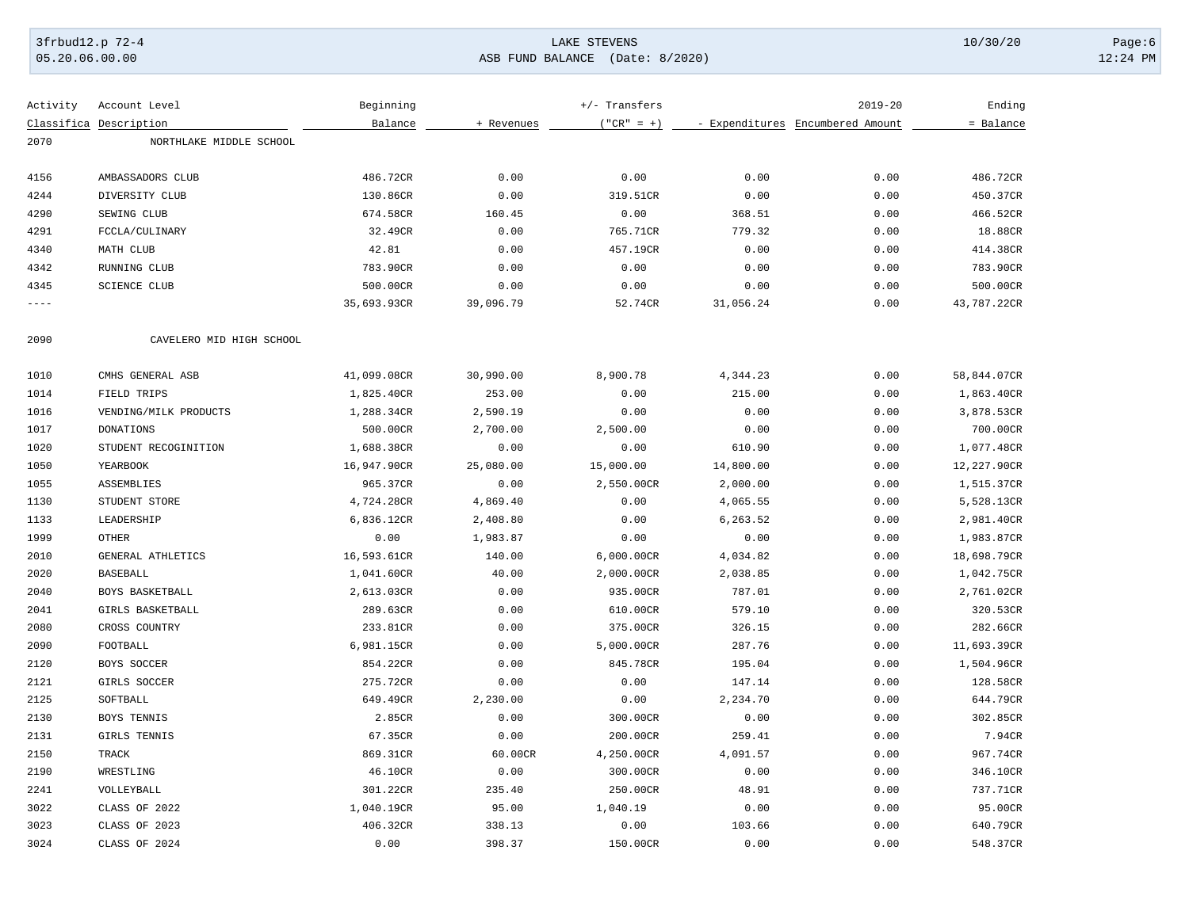05.20.06.00.00 ASB FUND BALANCE (Date: 8/2020) 12:24 PM

| Activity | Account Level            | Beginning   |            | +/- Transfers |           | $2019 - 20$                      | Ending      |
|----------|--------------------------|-------------|------------|---------------|-----------|----------------------------------|-------------|
|          | Classifica Description   | Balance     | + Revenues | $("CR" = +)$  |           | - Expenditures Encumbered Amount | = Balance   |
| 2070     | NORTHLAKE MIDDLE SCHOOL  |             |            |               |           |                                  |             |
|          |                          |             |            |               |           |                                  |             |
| 4156     | AMBASSADORS CLUB         | 486.72CR    | 0.00       | 0.00          | 0.00      | 0.00                             | 486.72CR    |
| 4244     | DIVERSITY CLUB           | 130.86CR    | 0.00       | 319.51CR      | 0.00      | 0.00                             | 450.37CR    |
| 4290     | SEWING CLUB              | 674.58CR    | 160.45     | 0.00          | 368.51    | 0.00                             | 466.52CR    |
| 4291     | FCCLA/CULINARY           | 32.49CR     | 0.00       | 765.71CR      | 779.32    | 0.00                             | 18.88CR     |
| 4340     | MATH CLUB                | 42.81       | 0.00       | 457.19CR      | 0.00      | 0.00                             | 414.38CR    |
| 4342     | RUNNING CLUB             | 783.90CR    | 0.00       | 0.00          | 0.00      | 0.00                             | 783.90CR    |
| 4345     | <b>SCIENCE CLUB</b>      | 500.00CR    | 0.00       | 0.00          | 0.00      | 0.00                             | 500.00CR    |
| $---$    |                          | 35,693.93CR | 39,096.79  | 52.74CR       | 31,056.24 | 0.00                             | 43,787.22CR |
| 2090     | CAVELERO MID HIGH SCHOOL |             |            |               |           |                                  |             |
| 1010     | CMHS GENERAL ASB         | 41,099.08CR | 30,990.00  | 8,900.78      | 4,344.23  | 0.00                             | 58,844.07CR |
| 1014     | FIELD TRIPS              | 1,825.40CR  | 253.00     | 0.00          | 215.00    | 0.00                             | 1,863.40CR  |
| 1016     | VENDING/MILK PRODUCTS    | 1,288.34CR  | 2,590.19   | 0.00          | 0.00      | 0.00                             | 3,878.53CR  |
| 1017     | <b>DONATIONS</b>         | 500.00CR    | 2,700.00   | 2,500.00      | 0.00      | 0.00                             | 700.00CR    |
| 1020     | STUDENT RECOGINITION     | 1,688.38CR  | 0.00       | 0.00          | 610.90    | 0.00                             | 1,077.48CR  |
| 1050     | YEARBOOK                 | 16,947.90CR | 25,080.00  | 15,000.00     | 14,800.00 | 0.00                             | 12,227.90CR |
| 1055     | ASSEMBLIES               | 965.37CR    | 0.00       | 2,550.00CR    | 2,000.00  | 0.00                             | 1,515.37CR  |
| 1130     | STUDENT STORE            | 4,724.28CR  | 4,869.40   | 0.00          | 4,065.55  | 0.00                             | 5,528.13CR  |
| 1133     | LEADERSHIP               | 6,836.12CR  | 2,408.80   | 0.00          | 6,263.52  | 0.00                             | 2,981.40CR  |
| 1999     | <b>OTHER</b>             | 0.00        | 1,983.87   | 0.00          | 0.00      | 0.00                             | 1,983.87CR  |
| 2010     | GENERAL ATHLETICS        | 16,593.61CR | 140.00     | 6,000.00CR    | 4,034.82  | 0.00                             | 18,698.79CR |
| 2020     | <b>BASEBALL</b>          | 1,041.60CR  | 40.00      | 2,000.00CR    | 2,038.85  | 0.00                             | 1,042.75CR  |
| 2040     | BOYS BASKETBALL          | 2,613.03CR  | 0.00       | 935.00CR      | 787.01    | 0.00                             | 2,761.02CR  |
| 2041     | GIRLS BASKETBALL         | 289.63CR    | 0.00       | 610.00CR      | 579.10    | 0.00                             | 320.53CR    |
| 2080     | CROSS COUNTRY            | 233.81CR    | 0.00       | 375.00CR      | 326.15    | 0.00                             | 282.66CR    |
| 2090     | FOOTBALL                 | 6,981.15CR  | 0.00       | 5,000.00CR    | 287.76    | 0.00                             | 11,693.39CR |
| 2120     | BOYS SOCCER              | 854.22CR    | 0.00       | 845.78CR      | 195.04    | 0.00                             | 1,504.96CR  |
| 2121     | GIRLS SOCCER             | 275.72CR    | 0.00       | 0.00          | 147.14    | 0.00                             | 128.58CR    |
| 2125     | SOFTBALL                 | 649.49CR    | 2,230.00   | 0.00          | 2,234.70  | 0.00                             | 644.79CR    |
| 2130     | BOYS TENNIS              | 2.85CR      | 0.00       | 300.00CR      | 0.00      | 0.00                             | 302.85CR    |
| 2131     | GIRLS TENNIS             | 67.35CR     | 0.00       | 200.00CR      | 259.41    | 0.00                             | 7.94CR      |
| 2150     | TRACK                    | 869.31CR    | 60.00CR    | 4,250.00CR    | 4,091.57  | 0.00                             | 967.74CR    |
| 2190     | WRESTLING                | 46.10CR     | 0.00       | 300.00CR      | 0.00      | 0.00                             | 346.10CR    |
| 2241     | VOLLEYBALL               | 301.22CR    | 235.40     | 250.00CR      | 48.91     | 0.00                             | 737.71CR    |
| 3022     | CLASS OF 2022            | 1,040.19CR  | 95.00      | 1,040.19      | 0.00      | 0.00                             | 95.00CR     |
| 3023     | CLASS OF 2023            | 406.32CR    | 338.13     | 0.00          | 103.66    | 0.00                             | 640.79CR    |
| 3024     | CLASS OF 2024            | 0.00        | 398.37     | 150.00CR      | 0.00      | 0.00                             | 548.37CR    |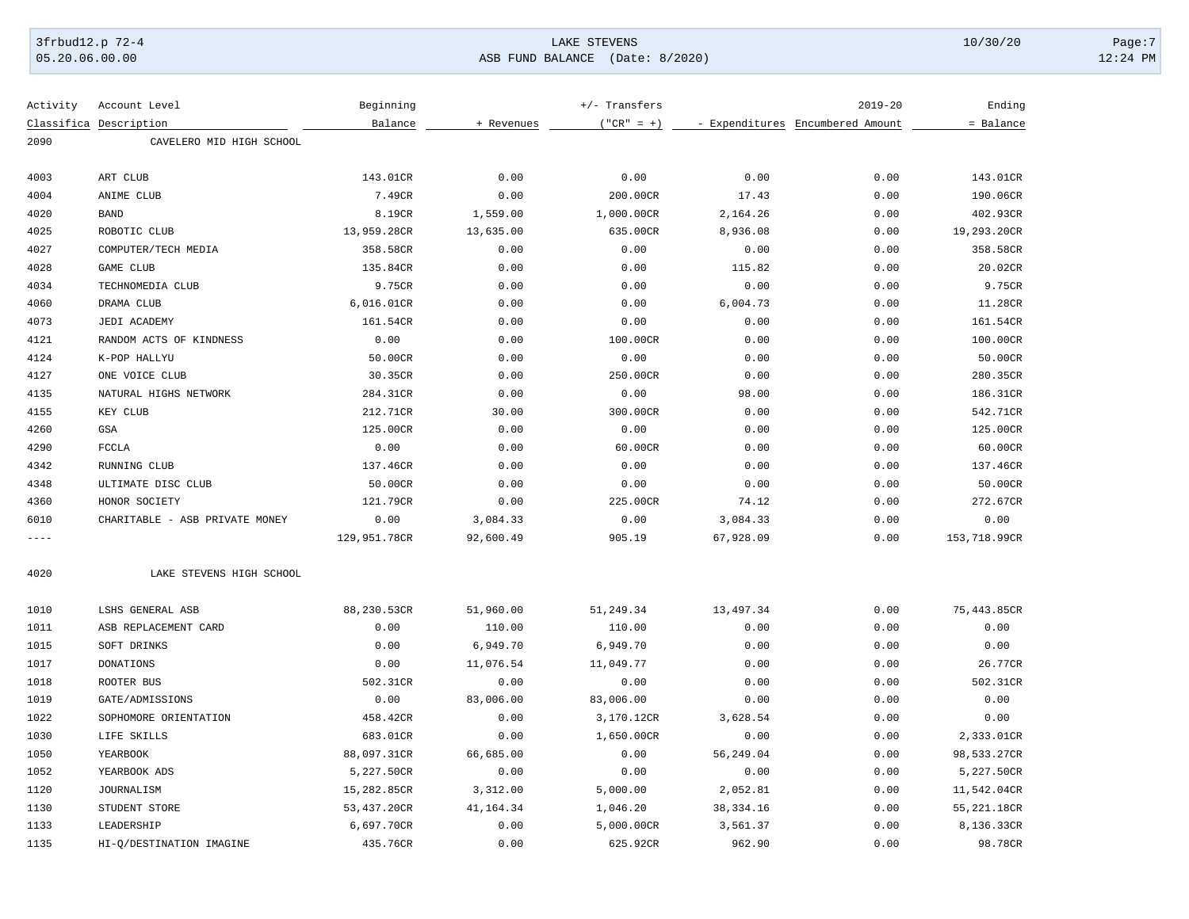### 3frbud12.p 72-4 LAKE STEVENS 10/30/20 Page:7 05.20.06.00.00 ASB FUND BALANCE (Date: 8/2020) 12:24 PM

| Activity   | Account Level                  | Beginning    |             | +/- Transfers |             | $2019 - 20$                      | Ending       |
|------------|--------------------------------|--------------|-------------|---------------|-------------|----------------------------------|--------------|
| Classifica | Description                    | Balance      | + Revenues  | $("CR" = +)$  |             | - Expenditures Encumbered Amount | = Balance    |
| 2090       | CAVELERO MID HIGH SCHOOL       |              |             |               |             |                                  |              |
| 4003       | ART CLUB                       | 143.01CR     | 0.00        | 0.00          | 0.00        | 0.00                             | 143.01CR     |
| 4004       | ANIME CLUB                     | 7.49CR       | 0.00        | 200.00CR      | 17.43       | 0.00                             | 190.06CR     |
| 4020       | <b>BAND</b>                    | 8.19CR       | 1,559.00    | 1,000.00CR    | 2,164.26    | 0.00                             | 402.93CR     |
| 4025       | ROBOTIC CLUB                   | 13,959.28CR  | 13,635.00   | 635.00CR      | 8,936.08    | 0.00                             | 19,293.20CR  |
| 4027       | COMPUTER/TECH MEDIA            | 358.58CR     | 0.00        | 0.00          | 0.00        | 0.00                             | 358.58CR     |
| 4028       | <b>GAME CLUB</b>               | 135.84CR     | 0.00        | 0.00          | 115.82      | 0.00                             | 20.02CR      |
| 4034       | TECHNOMEDIA CLUB               | 9.75CR       | 0.00        | 0.00          | 0.00        | 0.00                             | 9.75CR       |
| 4060       | DRAMA CLUB                     | 6,016.01CR   | 0.00        | 0.00          | 6,004.73    | 0.00                             | 11.28CR      |
| 4073       | JEDI ACADEMY                   | 161.54CR     | 0.00        | 0.00          | 0.00        | 0.00                             | 161.54CR     |
| 4121       | RANDOM ACTS OF KINDNESS        | 0.00         | 0.00        | 100.00CR      | 0.00        | 0.00                             | 100.00CR     |
| 4124       | K-POP HALLYU                   | 50.00CR      | 0.00        | 0.00          | 0.00        | 0.00                             | 50.00CR      |
| 4127       | ONE VOICE CLUB                 | 30.35CR      | 0.00        | 250.00CR      | 0.00        | 0.00                             | 280.35CR     |
| 4135       | NATURAL HIGHS NETWORK          | 284.31CR     | 0.00        | 0.00          | 98.00       | 0.00                             | 186.31CR     |
| 4155       | KEY CLUB                       | 212.71CR     | 30.00       | 300.00CR      | 0.00        | 0.00                             | 542.71CR     |
| 4260       | GSA                            | 125.00CR     | 0.00        | 0.00          | 0.00        | 0.00                             | 125.00CR     |
| 4290       | <b>FCCLA</b>                   | 0.00         | 0.00        | 60.00CR       | 0.00        | 0.00                             | 60.00CR      |
| 4342       | RUNNING CLUB                   | 137.46CR     | 0.00        | 0.00          | 0.00        | 0.00                             | 137.46CR     |
| 4348       | ULTIMATE DISC CLUB             | 50.00CR      | 0.00        | 0.00          | 0.00        | 0.00                             | 50.00CR      |
| 4360       | HONOR SOCIETY                  | 121.79CR     | 0.00        | 225.00CR      | 74.12       | 0.00                             | 272.67CR     |
| 6010       | CHARITABLE - ASB PRIVATE MONEY | 0.00         | 3,084.33    | 0.00          | 3,084.33    | 0.00                             | 0.00         |
| $- - - -$  |                                | 129,951.78CR | 92,600.49   | 905.19        | 67,928.09   | 0.00                             | 153,718.99CR |
| 4020       | LAKE STEVENS HIGH SCHOOL       |              |             |               |             |                                  |              |
| 1010       | LSHS GENERAL ASB               | 88,230.53CR  | 51,960.00   | 51,249.34     | 13,497.34   | 0.00                             | 75,443.85CR  |
| 1011       | ASB REPLACEMENT CARD           | 0.00         | 110.00      | 110.00        | 0.00        | 0.00                             | 0.00         |
| 1015       | SOFT DRINKS                    | 0.00         | 6,949.70    | 6,949.70      | 0.00        | 0.00                             | 0.00         |
| 1017       | <b>DONATIONS</b>               | 0.00         | 11,076.54   | 11,049.77     | 0.00        | 0.00                             | 26.77CR      |
| 1018       | ROOTER BUS                     | 502.31CR     | 0.00        | 0.00          | 0.00        | 0.00                             | 502.31CR     |
| 1019       | GATE/ADMISSIONS                | 0.00         | 83,006.00   | 83,006.00     | 0.00        | 0.00                             | 0.00         |
| 1022       | SOPHOMORE ORIENTATION          | 458.42CR     | 0.00        | 3,170.12CR    | 3,628.54    | 0.00                             | 0.00         |
| 1030       | LIFE SKILLS                    | 683.01CR     | 0.00        | 1,650.00CR    | 0.00        | 0.00                             | 2,333.01CR   |
| 1050       | YEARBOOK                       | 88,097.31CR  | 66,685.00   | 0.00          | 56,249.04   | 0.00                             | 98,533.27CR  |
| 1052       | YEARBOOK ADS                   | 5,227.50CR   | 0.00        | 0.00          | 0.00        | 0.00                             | 5,227.50CR   |
| 1120       | <b>JOURNALISM</b>              | 15,282.85CR  | 3,312.00    | 5,000.00      | 2,052.81    | 0.00                             | 11,542.04CR  |
| 1130       | STUDENT STORE                  | 53,437.20CR  | 41, 164. 34 | 1,046.20      | 38, 334. 16 | 0.00                             | 55,221.18CR  |
| 1133       | LEADERSHIP                     | 6,697.70CR   | 0.00        | 5,000.00CR    | 3,561.37    | 0.00                             | 8,136.33CR   |
| 1135       | HI-Q/DESTINATION IMAGINE       | 435.76CR     | 0.00        | 625.92CR      | 962.90      | 0.00                             | 98.78CR      |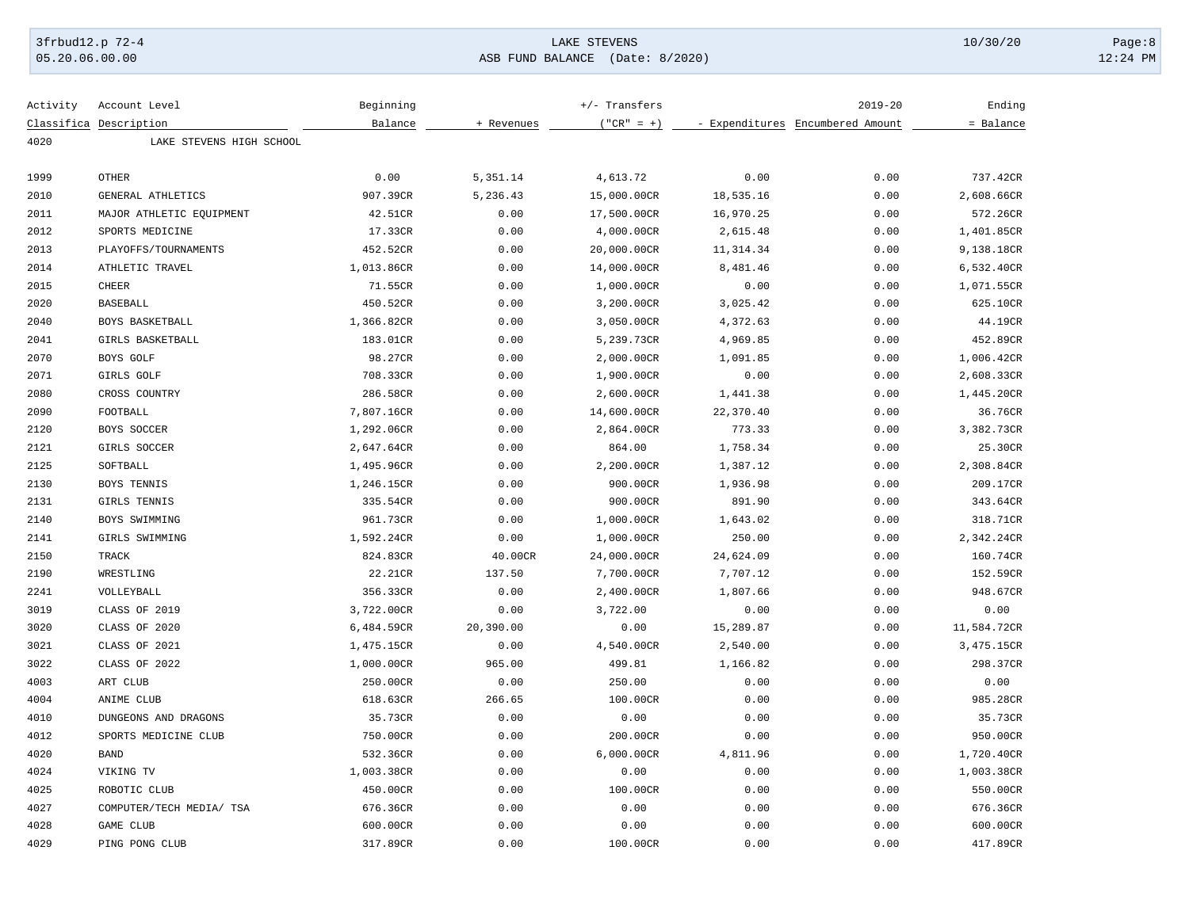### 3frbud12.p 72-4 LAKE STEVENS 10/30/20 Page:8 05.20.06.00.00 ASB FUND BALANCE (Date: 8/2020) 12:24 PM

| Activity | Account Level            | Beginning  |            | $+/-$ Transfers |           | $2019 - 20$                      | Ending      |
|----------|--------------------------|------------|------------|-----------------|-----------|----------------------------------|-------------|
|          | Classifica Description   | Balance    | + Revenues | $("CR" = +)$    |           | - Expenditures Encumbered Amount | = Balance   |
| 4020     | LAKE STEVENS HIGH SCHOOL |            |            |                 |           |                                  |             |
|          |                          |            |            |                 |           |                                  |             |
| 1999     | <b>OTHER</b>             | 0.00       | 5,351.14   | 4,613.72        | 0.00      | 0.00                             | 737.42CR    |
| 2010     | GENERAL ATHLETICS        | 907.39CR   | 5,236.43   | 15,000.00CR     | 18,535.16 | 0.00                             | 2,608.66CR  |
| 2011     | MAJOR ATHLETIC EQUIPMENT | 42.51CR    | 0.00       | 17,500.00CR     | 16,970.25 | 0.00                             | 572.26CR    |
| 2012     | SPORTS MEDICINE          | 17.33CR    | 0.00       | 4,000.00CR      | 2,615.48  | 0.00                             | 1,401.85CR  |
| 2013     | PLAYOFFS/TOURNAMENTS     | 452.52CR   | 0.00       | 20,000.00CR     | 11,314.34 | 0.00                             | 9,138.18CR  |
| 2014     | ATHLETIC TRAVEL          | 1,013.86CR | 0.00       | 14,000.00CR     | 8,481.46  | 0.00                             | 6,532.40CR  |
| 2015     | <b>CHEER</b>             | 71.55CR    | 0.00       | 1,000.00CR      | 0.00      | 0.00                             | 1,071.55CR  |
| 2020     | <b>BASEBALL</b>          | 450.52CR   | 0.00       | 3,200.00CR      | 3,025.42  | 0.00                             | 625.10CR    |
| 2040     | BOYS BASKETBALL          | 1,366.82CR | 0.00       | 3,050.00CR      | 4,372.63  | 0.00                             | 44.19CR     |
| 2041     | GIRLS BASKETBALL         | 183.01CR   | 0.00       | 5,239.73CR      | 4,969.85  | 0.00                             | 452.89CR    |
| 2070     | BOYS GOLF                | 98.27CR    | 0.00       | 2,000.00CR      | 1,091.85  | 0.00                             | 1,006.42CR  |
| 2071     | GIRLS GOLF               | 708.33CR   | 0.00       | 1,900.00CR      | 0.00      | 0.00                             | 2,608.33CR  |
| 2080     | CROSS COUNTRY            | 286.58CR   | 0.00       | 2,600.00CR      | 1,441.38  | 0.00                             | 1,445.20CR  |
| 2090     | FOOTBALL                 | 7,807.16CR | 0.00       | 14,600.00CR     | 22,370.40 | 0.00                             | 36.76CR     |
| 2120     | BOYS SOCCER              | 1,292.06CR | 0.00       | 2,864.00CR      | 773.33    | 0.00                             | 3,382.73CR  |
| 2121     | GIRLS SOCCER             | 2,647.64CR | 0.00       | 864.00          | 1,758.34  | 0.00                             | 25.30CR     |
| 2125     | SOFTBALL                 | 1,495.96CR | 0.00       | 2,200.00CR      | 1,387.12  | 0.00                             | 2,308.84CR  |
| 2130     | BOYS TENNIS              | 1,246.15CR | 0.00       | 900.00CR        | 1,936.98  | 0.00                             | 209.17CR    |
| 2131     | GIRLS TENNIS             | 335.54CR   | 0.00       | 900.00CR        | 891.90    | 0.00                             | 343.64CR    |
| 2140     | BOYS SWIMMING            | 961.73CR   | 0.00       | 1,000.00CR      | 1,643.02  | 0.00                             | 318.71CR    |
| 2141     | GIRLS SWIMMING           | 1,592.24CR | 0.00       | 1,000.00CR      | 250.00    | 0.00                             | 2,342.24CR  |
| 2150     | <b>TRACK</b>             | 824.83CR   | 40.00CR    | 24,000.00CR     | 24,624.09 | 0.00                             | 160.74CR    |
| 2190     | WRESTLING                | 22.21CR    | 137.50     | 7,700.00CR      | 7,707.12  | 0.00                             | 152.59CR    |
| 2241     | VOLLEYBALL               | 356.33CR   | 0.00       | 2,400.00CR      | 1,807.66  | 0.00                             | 948.67CR    |
| 3019     | CLASS OF 2019            | 3,722.00CR | 0.00       | 3,722.00        | 0.00      | 0.00                             | 0.00        |
| 3020     | CLASS OF 2020            | 6,484.59CR | 20,390.00  | 0.00            | 15,289.87 | 0.00                             | 11,584.72CR |
| 3021     | CLASS OF 2021            | 1,475.15CR | 0.00       | 4,540.00CR      | 2,540.00  | 0.00                             | 3,475.15CR  |
| 3022     | CLASS OF 2022            | 1,000.00CR | 965.00     | 499.81          | 1,166.82  | 0.00                             | 298.37CR    |
| 4003     | ART CLUB                 | 250.00CR   | 0.00       | 250.00          | 0.00      | 0.00                             | 0.00        |
| 4004     | ANIME CLUB               | 618.63CR   | 266.65     | 100.00CR        | 0.00      | 0.00                             | 985.28CR    |
| 4010     | DUNGEONS AND DRAGONS     | 35.73CR    | 0.00       | 0.00            | 0.00      | 0.00                             | 35.73CR     |
| 4012     | SPORTS MEDICINE CLUB     | 750.00CR   | 0.00       | 200.00CR        | 0.00      | 0.00                             | 950.00CR    |
| 4020     | <b>BAND</b>              | 532.36CR   | 0.00       | 6,000.00CR      | 4,811.96  | 0.00                             | 1,720.40CR  |
| 4024     | VIKING TV                | 1,003.38CR | 0.00       | 0.00            | 0.00      | 0.00                             | 1,003.38CR  |
| 4025     | ROBOTIC CLUB             | 450.00CR   | 0.00       | 100.00CR        | 0.00      | 0.00                             | 550.00CR    |
| 4027     | COMPUTER/TECH MEDIA/ TSA | 676.36CR   | 0.00       | 0.00            | 0.00      | 0.00                             | 676.36CR    |
| 4028     | GAME CLUB                | 600.00CR   | 0.00       | 0.00            | 0.00      | 0.00                             | 600.00CR    |
| 4029     | PING PONG CLUB           | 317.89CR   | 0.00       | 100.00CR        | 0.00      | 0.00                             | 417.89CR    |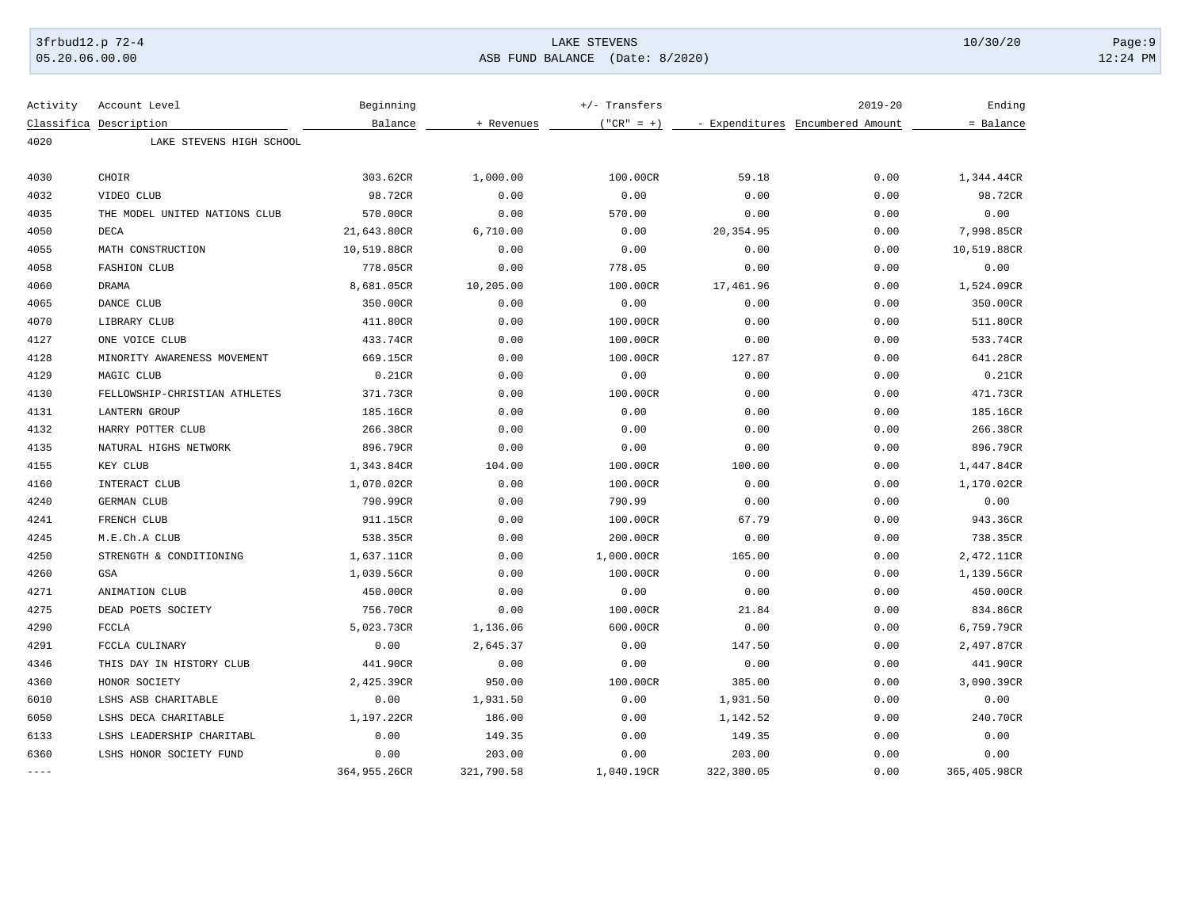05.20.06.00.00 ASB FUND BALANCE (Date: 8/2020) 12:24 PM

| Activity    | Account Level                 | Beginning    |            | +/- Transfers |            | $2019 - 20$                      | Ending       |
|-------------|-------------------------------|--------------|------------|---------------|------------|----------------------------------|--------------|
|             | Classifica Description        | Balance      | + Revenues | $("CR" = +)$  |            | - Expenditures Encumbered Amount | = Balance    |
| 4020        | LAKE STEVENS HIGH SCHOOL      |              |            |               |            |                                  |              |
| 4030        | CHOIR                         | 303.62CR     | 1,000.00   | 100.00CR      | 59.18      | 0.00                             | 1,344.44CR   |
| 4032        | VIDEO CLUB                    | 98.72CR      | 0.00       | 0.00          | 0.00       | 0.00                             | 98.72CR      |
| 4035        | THE MODEL UNITED NATIONS CLUB | 570.00CR     | 0.00       | 570.00        | 0.00       | 0.00                             | 0.00         |
| 4050        | DECA                          | 21,643.80CR  | 6,710.00   | 0.00          | 20,354.95  | 0.00                             | 7,998.85CR   |
| 4055        | MATH CONSTRUCTION             | 10,519.88CR  | 0.00       | 0.00          | 0.00       | 0.00                             | 10,519.88CR  |
| 4058        | <b>FASHION CLUB</b>           | 778.05CR     | 0.00       | 778.05        | 0.00       | 0.00                             | 0.00         |
| 4060        | DRAMA                         | 8,681.05CR   | 10,205.00  | 100.00CR      | 17,461.96  | 0.00                             | 1,524.09CR   |
| 4065        | DANCE CLUB                    | 350.00CR     | 0.00       | 0.00          | 0.00       | 0.00                             | 350.00CR     |
| 4070        | LIBRARY CLUB                  | 411.80CR     | 0.00       | 100.00CR      | 0.00       | 0.00                             | 511.80CR     |
| 4127        | ONE VOICE CLUB                | 433.74CR     | 0.00       | 100.00CR      | 0.00       | 0.00                             | 533.74CR     |
| 4128        | MINORITY AWARENESS MOVEMENT   | 669.15CR     | 0.00       | 100.00CR      | 127.87     | 0.00                             | 641.28CR     |
| 4129        | MAGIC CLUB                    | 0.21CR       | 0.00       | 0.00          | 0.00       | 0.00                             | 0.21CR       |
| 4130        | FELLOWSHIP-CHRISTIAN ATHLETES | 371.73CR     | 0.00       | 100.00CR      | 0.00       | 0.00                             | 471.73CR     |
| 4131        | <b>LANTERN GROUP</b>          | 185.16CR     | 0.00       | 0.00          | 0.00       | 0.00                             | 185.16CR     |
| 4132        | HARRY POTTER CLUB             | 266.38CR     | 0.00       | 0.00          | 0.00       | 0.00                             | 266.38CR     |
| 4135        | NATURAL HIGHS NETWORK         | 896.79CR     | 0.00       | 0.00          | 0.00       | 0.00                             | 896.79CR     |
| 4155        | KEY CLUB                      | 1,343.84CR   | 104.00     | 100.00CR      | 100.00     | 0.00                             | 1,447.84CR   |
| 4160        | INTERACT CLUB                 | 1,070.02CR   | 0.00       | 100.00CR      | 0.00       | 0.00                             | 1,170.02CR   |
| 4240        | GERMAN CLUB                   | 790.99CR     | 0.00       | 790.99        | 0.00       | 0.00                             | 0.00         |
| 4241        | FRENCH CLUB                   | 911.15CR     | 0.00       | 100.00CR      | 67.79      | 0.00                             | 943.36CR     |
| 4245        | M.E.Ch.A CLUB                 | 538.35CR     | 0.00       | 200.00CR      | 0.00       | 0.00                             | 738.35CR     |
| 4250        | STRENGTH & CONDITIONING       | 1,637.11CR   | 0.00       | 1,000.00CR    | 165.00     | 0.00                             | 2,472.11CR   |
| 4260        | <b>GSA</b>                    | 1,039.56CR   | 0.00       | 100.00CR      | 0.00       | 0.00                             | 1,139.56CR   |
| 4271        | ANIMATION CLUB                | 450.00CR     | 0.00       | 0.00          | 0.00       | 0.00                             | 450.00CR     |
| 4275        | DEAD POETS SOCIETY            | 756.70CR     | 0.00       | 100.00CR      | 21.84      | 0.00                             | 834.86CR     |
| 4290        | <b>FCCLA</b>                  | 5,023.73CR   | 1,136.06   | 600.00CR      | 0.00       | 0.00                             | 6,759.79CR   |
| 4291        | FCCLA CULINARY                | 0.00         | 2,645.37   | 0.00          | 147.50     | 0.00                             | 2,497.87CR   |
| 4346        | THIS DAY IN HISTORY CLUB      | 441.90CR     | 0.00       | 0.00          | 0.00       | 0.00                             | 441.90CR     |
| 4360        | HONOR SOCIETY                 | 2,425.39CR   | 950.00     | 100.00CR      | 385.00     | 0.00                             | 3,090.39CR   |
| 6010        | LSHS ASB CHARITABLE           | 0.00         | 1,931.50   | 0.00          | 1,931.50   | 0.00                             | 0.00         |
| 6050        | LSHS DECA CHARITABLE          | 1,197.22CR   | 186.00     | 0.00          | 1,142.52   | 0.00                             | 240.70CR     |
| 6133        | LSHS LEADERSHIP CHARITABL     | 0.00         | 149.35     | 0.00          | 149.35     | 0.00                             | 0.00         |
| 6360        | LSHS HONOR SOCIETY FUND       | 0.00         | 203.00     | 0.00          | 203.00     | 0.00                             | 0.00         |
| $- - - - -$ |                               | 364,955.26CR | 321,790.58 | 1,040.19CR    | 322,380.05 | 0.00                             | 365,405.98CR |